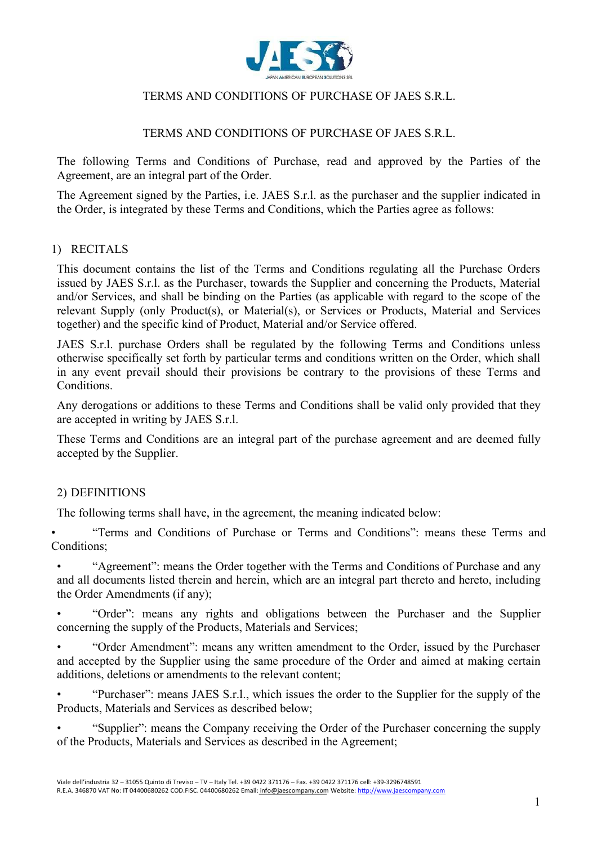

### TERMS AND CONDITIONS OF PURCHASE OF JAES S.R.L.

The following Terms and Conditions of Purchase, read and approved by the Parties of the Agreement, are an integral part of the Order.

The Agreement signed by the Parties, i.e. JAES S.r.l. as the purchaser and the supplier indicated in the Order, is integrated by these Terms and Conditions, which the Parties agree as follows:

### 1) RECITALS

This document contains the list of the Terms and Conditions regulating all the Purchase Orders issued by JAES S.r.l. as the Purchaser, towards the Supplier and concerning the Products, Material and/or Services, and shall be binding on the Parties (as applicable with regard to the scope of the relevant Supply (only Product(s), or Material(s), or Services or Products, Material and Services together) and the specific kind of Product, Material and/or Service offered.

JAES S.r.l. purchase Orders shall be regulated by the following Terms and Conditions unless otherwise specifically set forth by particular terms and conditions written on the Order, which shall in any event prevail should their provisions be contrary to the provisions of these Terms and Conditions.

Any derogations or additions to these Terms and Conditions shall be valid only provided that they are accepted in writing by JAES S.r.l.

These Terms and Conditions are an integral part of the purchase agreement and are deemed fully accepted by the Supplier.

#### 2) DEFINITIONS

The following terms shall have, in the agreement, the meaning indicated below:

• "Terms and Conditions of Purchase or Terms and Conditions": means these Terms and Conditions;

• "Agreement": means the Order together with the Terms and Conditions of Purchase and any and all documents listed therein and herein, which are an integral part thereto and hereto, including the Order Amendments (if any);

• "Order": means any rights and obligations between the Purchaser and the Supplier concerning the supply of the Products, Materials and Services;

• "Order Amendment": means any written amendment to the Order, issued by the Purchaser and accepted by the Supplier using the same procedure of the Order and aimed at making certain additions, deletions or amendments to the relevant content;

• "Purchaser": means JAES S.r.l., which issues the order to the Supplier for the supply of the Products, Materials and Services as described below;

• "Supplier": means the Company receiving the Order of the Purchaser concerning the supply of the Products, Materials and Services as described in the Agreement;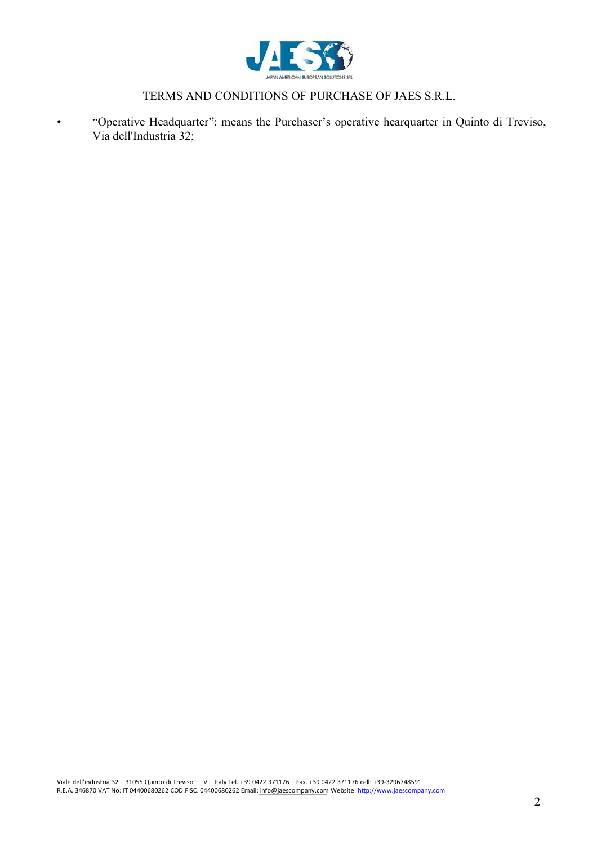

• "Operative Headquarter": means the Purchaser's operative hearquarter in Quinto di Treviso, Via dell'Industria 32;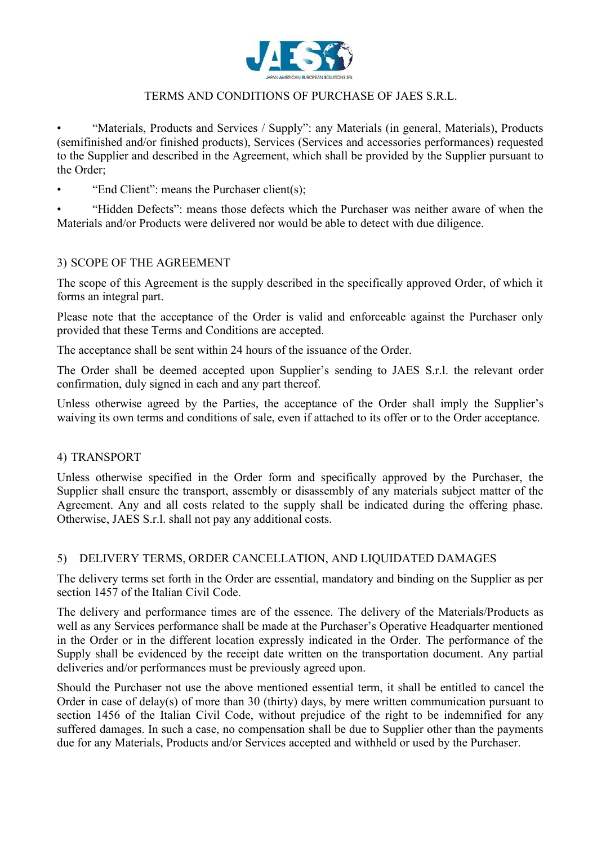

• "Materials, Products and Services / Supply": any Materials (in general, Materials), Products (semifinished and/or finished products), Services (Services and accessories performances) requested to the Supplier and described in the Agreement, which shall be provided by the Supplier pursuant to the Order;

• "End Client": means the Purchaser client(s);

• "Hidden Defects": means those defects which the Purchaser was neither aware of when the Materials and/or Products were delivered nor would be able to detect with due diligence.

# 3) SCOPE OF THE AGREEMENT

The scope of this Agreement is the supply described in the specifically approved Order, of which it forms an integral part.

Please note that the acceptance of the Order is valid and enforceable against the Purchaser only provided that these Terms and Conditions are accepted.

The acceptance shall be sent within 24 hours of the issuance of the Order.

The Order shall be deemed accepted upon Supplier's sending to JAES S.r.l. the relevant order confirmation, duly signed in each and any part thereof.

Unless otherwise agreed by the Parties, the acceptance of the Order shall imply the Supplier's waiving its own terms and conditions of sale, even if attached to its offer or to the Order acceptance.

#### 4) TRANSPORT

Unless otherwise specified in the Order form and specifically approved by the Purchaser, the Supplier shall ensure the transport, assembly or disassembly of any materials subject matter of the Agreement. Any and all costs related to the supply shall be indicated during the offering phase. Otherwise, JAES S.r.l. shall not pay any additional costs.

### 5) DELIVERY TERMS, ORDER CANCELLATION, AND LIQUIDATED DAMAGES

The delivery terms set forth in the Order are essential, mandatory and binding on the Supplier as per section 1457 of the Italian Civil Code.

The delivery and performance times are of the essence. The delivery of the Materials/Products as well as any Services performance shall be made at the Purchaser's Operative Headquarter mentioned in the Order or in the different location expressly indicated in the Order. The performance of the Supply shall be evidenced by the receipt date written on the transportation document. Any partial deliveries and/or performances must be previously agreed upon.

Should the Purchaser not use the above mentioned essential term, it shall be entitled to cancel the Order in case of delay(s) of more than 30 (thirty) days, by mere written communication pursuant to section 1456 of the Italian Civil Code, without prejudice of the right to be indemnified for any suffered damages. In such a case, no compensation shall be due to Supplier other than the payments due for any Materials, Products and/or Services accepted and withheld or used by the Purchaser.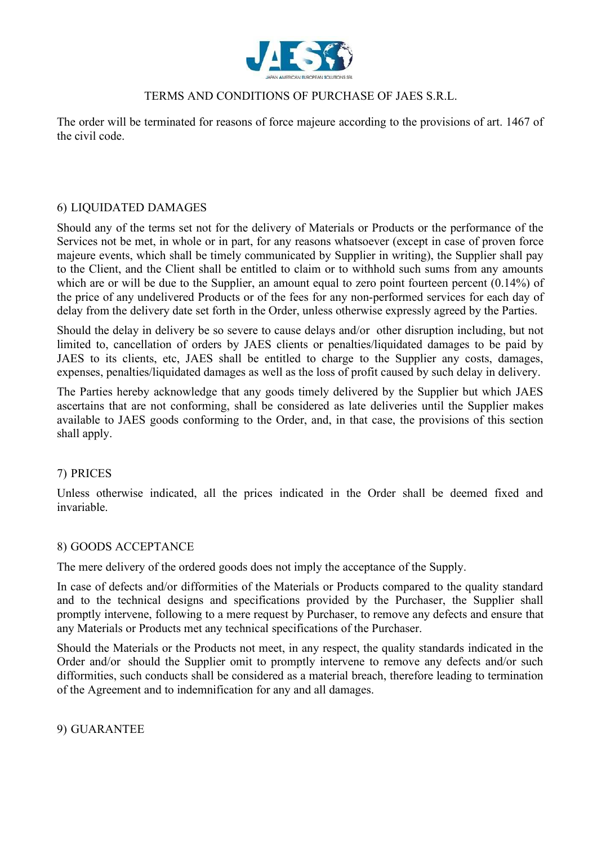

The order will be terminated for reasons of force majeure according to the provisions of art. 1467 of the civil code.

### 6) LIQUIDATED DAMAGES

Should any of the terms set not for the delivery of Materials or Products or the performance of the Services not be met, in whole or in part, for any reasons whatsoever (except in case of proven force majeure events, which shall be timely communicated by Supplier in writing), the Supplier shall pay to the Client, and the Client shall be entitled to claim or to withhold such sums from any amounts which are or will be due to the Supplier, an amount equal to zero point fourteen percent (0.14%) of the price of any undelivered Products or of the fees for any non-performed services for each day of delay from the delivery date set forth in the Order, unless otherwise expressly agreed by the Parties.

Should the delay in delivery be so severe to cause delays and/or other disruption including, but not limited to, cancellation of orders by JAES clients or penalties/liquidated damages to be paid by JAES to its clients, etc, JAES shall be entitled to charge to the Supplier any costs, damages, expenses, penalties/liquidated damages as well as the loss of profit caused by such delay in delivery.

The Parties hereby acknowledge that any goods timely delivered by the Supplier but which JAES ascertains that are not conforming, shall be considered as late deliveries until the Supplier makes available to JAES goods conforming to the Order, and, in that case, the provisions of this section shall apply.

#### 7) PRICES

Unless otherwise indicated, all the prices indicated in the Order shall be deemed fixed and invariable.

#### 8) GOODS ACCEPTANCE

The mere delivery of the ordered goods does not imply the acceptance of the Supply.

In case of defects and/or difformities of the Materials or Products compared to the quality standard and to the technical designs and specifications provided by the Purchaser, the Supplier shall promptly intervene, following to a mere request by Purchaser, to remove any defects and ensure that any Materials or Products met any technical specifications of the Purchaser.

Should the Materials or the Products not meet, in any respect, the quality standards indicated in the Order and/or should the Supplier omit to promptly intervene to remove any defects and/or such difformities, such conducts shall be considered as a material breach, therefore leading to termination of the Agreement and to indemnification for any and all damages.

9) GUARANTEE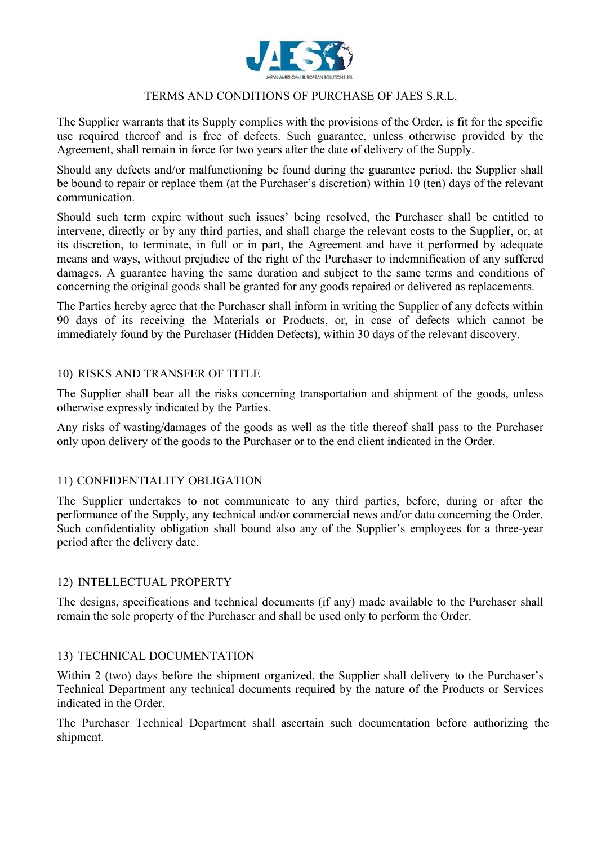

The Supplier warrants that its Supply complies with the provisions of the Order, is fit for the specific use required thereof and is free of defects. Such guarantee, unless otherwise provided by the Agreement, shall remain in force for two years after the date of delivery of the Supply.

Should any defects and/or malfunctioning be found during the guarantee period, the Supplier shall be bound to repair or replace them (at the Purchaser's discretion) within 10 (ten) days of the relevant communication.

Should such term expire without such issues' being resolved, the Purchaser shall be entitled to intervene, directly or by any third parties, and shall charge the relevant costs to the Supplier, or, at its discretion, to terminate, in full or in part, the Agreement and have it performed by adequate means and ways, without prejudice of the right of the Purchaser to indemnification of any suffered damages. A guarantee having the same duration and subject to the same terms and conditions of concerning the original goods shall be granted for any goods repaired or delivered as replacements.

The Parties hereby agree that the Purchaser shall inform in writing the Supplier of any defects within 90 days of its receiving the Materials or Products, or, in case of defects which cannot be immediately found by the Purchaser (Hidden Defects), within 30 days of the relevant discovery.

#### 10) RISKS AND TRANSFER OF TITLE

The Supplier shall bear all the risks concerning transportation and shipment of the goods, unless otherwise expressly indicated by the Parties.

Any risks of wasting/damages of the goods as well as the title thereof shall pass to the Purchaser only upon delivery of the goods to the Purchaser or to the end client indicated in the Order.

#### 11) CONFIDENTIALITY OBLIGATION

The Supplier undertakes to not communicate to any third parties, before, during or after the performance of the Supply, any technical and/or commercial news and/or data concerning the Order. Such confidentiality obligation shall bound also any of the Supplier's employees for a three-year period after the delivery date.

# 12) INTELLECTUAL PROPERTY

The designs, specifications and technical documents (if any) made available to the Purchaser shall remain the sole property of the Purchaser and shall be used only to perform the Order.

#### 13) TECHNICAL DOCUMENTATION

Within 2 (two) days before the shipment organized, the Supplier shall delivery to the Purchaser's Technical Department any technical documents required by the nature of the Products or Services indicated in the Order.

The Purchaser Technical Department shall ascertain such documentation before authorizing the shipment.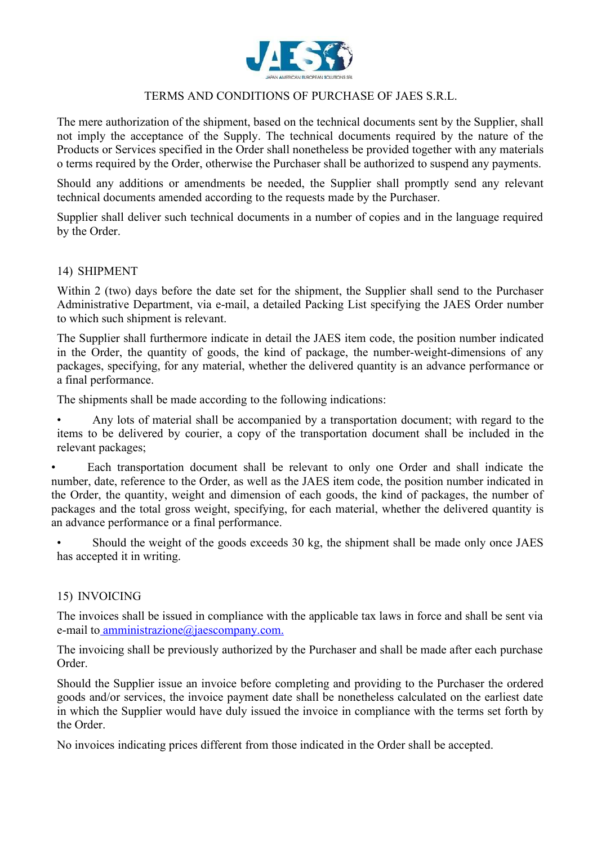

The mere authorization of the shipment, based on the technical documents sent by the Supplier, shall not imply the acceptance of the Supply. The technical documents required by the nature of the Products or Services specified in the Order shall nonetheless be provided together with any materials o terms required by the Order, otherwise the Purchaser shall be authorized to suspend any payments.

Should any additions or amendments be needed, the Supplier shall promptly send any relevant technical documents amended according to the requests made by the Purchaser.

Supplier shall deliver such technical documents in a number of copies and in the language required by the Order.

#### 14) SHIPMENT

Within 2 (two) days before the date set for the shipment, the Supplier shall send to the Purchaser Administrative Department, via e-mail, a detailed Packing List specifying the JAES Order number to which such shipment is relevant.

The Supplier shall furthermore indicate in detail the JAES item code, the position number indicated in the Order, the quantity of goods, the kind of package, the number-weight-dimensions of any packages, specifying, for any material, whether the delivered quantity is an advance performance or a final performance.

The shipments shall be made according to the following indications:

• Any lots of material shall be accompanied by a transportation document; with regard to the items to be delivered by courier, a copy of the transportation document shall be included in the relevant packages;

• Each transportation document shall be relevant to only one Order and shall indicate the number, date, reference to the Order, as well as the JAES item code, the position number indicated in the Order, the quantity, weight and dimension of each goods, the kind of packages, the number of packages and the total gross weight, specifying, for each material, whether the delivered quantity is an advance performance or a final performance.

Should the weight of the goods exceeds 30 kg, the shipment shall be made only once JAES has accepted it in writing.

#### 15) INVOICING

The invoices shall be issued in compliance with the applicable tax laws in force and shall be sent via e-mail to amministrazione@jaescompany.com.

The invoicing shall be previously authorized by the Purchaser and shall be made after each purchase Order.

Should the Supplier issue an invoice before completing and providing to the Purchaser the ordered goods and/or services, the invoice payment date shall be nonetheless calculated on the earliest date in which the Supplier would have duly issued the invoice in compliance with the terms set forth by the Order.

No invoices indicating prices different from those indicated in the Order shall be accepted.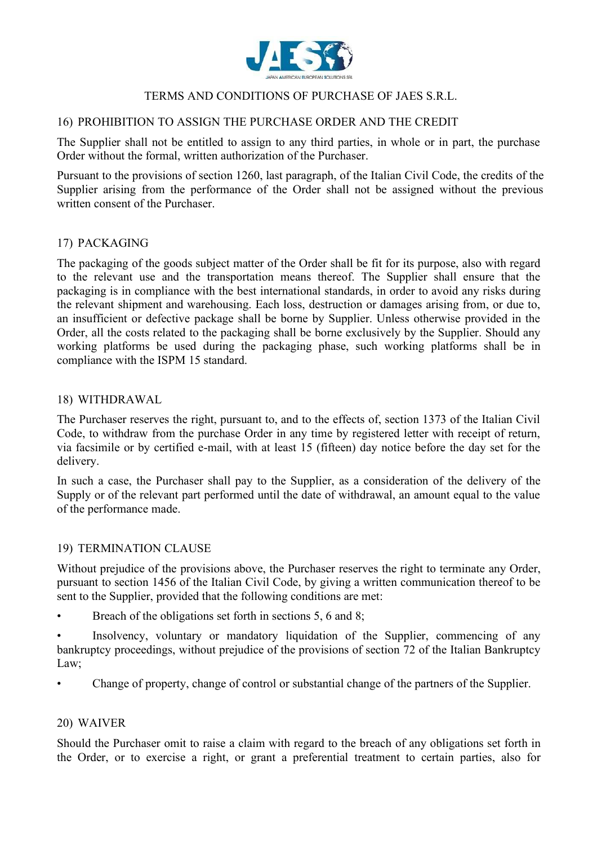

# 16) PROHIBITION TO ASSIGN THE PURCHASE ORDER AND THE CREDIT

The Supplier shall not be entitled to assign to any third parties, in whole or in part, the purchase Order without the formal, written authorization of the Purchaser.

Pursuant to the provisions of section 1260, last paragraph, of the Italian Civil Code, the credits of the Supplier arising from the performance of the Order shall not be assigned without the previous written consent of the Purchaser.

# 17) PACKAGING

The packaging of the goods subject matter of the Order shall be fit for its purpose, also with regard to the relevant use and the transportation means thereof. The Supplier shall ensure that the packaging is in compliance with the best international standards, in order to avoid any risks during the relevant shipment and warehousing. Each loss, destruction or damages arising from, or due to, an insufficient or defective package shall be borne by Supplier. Unless otherwise provided in the Order, all the costs related to the packaging shall be borne exclusively by the Supplier. Should any working platforms be used during the packaging phase, such working platforms shall be in compliance with the ISPM 15 standard.

#### 18) WITHDRAWAL

The Purchaser reserves the right, pursuant to, and to the effects of, section 1373 of the Italian Civil Code, to withdraw from the purchase Order in any time by registered letter with receipt of return, via facsimile or by certified e-mail, with at least 15 (fifteen) day notice before the day set for the delivery.

In such a case, the Purchaser shall pay to the Supplier, as a consideration of the delivery of the Supply or of the relevant part performed until the date of withdrawal, an amount equal to the value of the performance made.

#### 19) TERMINATION CLAUSE

Without prejudice of the provisions above, the Purchaser reserves the right to terminate any Order, pursuant to section 1456 of the Italian Civil Code, by giving a written communication thereof to be sent to the Supplier, provided that the following conditions are met:

• Breach of the obligations set forth in sections 5, 6 and 8;

Insolvency, voluntary or mandatory liquidation of the Supplier, commencing of any bankruptcy proceedings, without prejudice of the provisions of section 72 of the Italian Bankruptcy Law;

• Change of property, change of control or substantial change of the partners of the Supplier.

#### 20) WAIVER

Should the Purchaser omit to raise a claim with regard to the breach of any obligations set forth in the Order, or to exercise a right, or grant a preferential treatment to certain parties, also for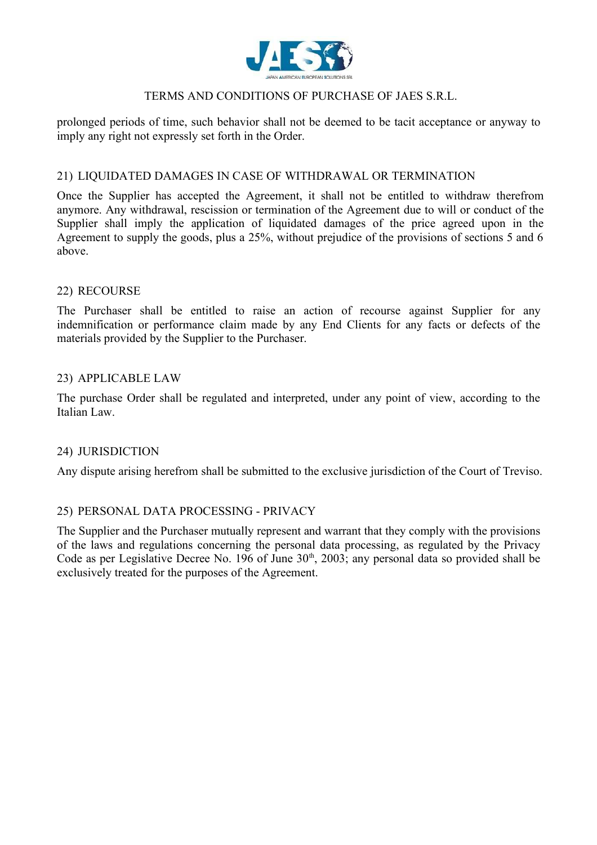

prolonged periods of time, such behavior shall not be deemed to be tacit acceptance or anyway to imply any right not expressly set forth in the Order.

#### 21) LIQUIDATED DAMAGES IN CASE OF WITHDRAWAL OR TERMINATION

Once the Supplier has accepted the Agreement, it shall not be entitled to withdraw therefrom anymore. Any withdrawal, rescission or termination of the Agreement due to will or conduct of the Supplier shall imply the application of liquidated damages of the price agreed upon in the Agreement to supply the goods, plus a 25%, without prejudice of the provisions of sections 5 and 6 above.

#### 22) RECOURSE

The Purchaser shall be entitled to raise an action of recourse against Supplier for any indemnification or performance claim made by any End Clients for any facts or defects of the materials provided by the Supplier to the Purchaser.

#### 23) APPLICABLE LAW

The purchase Order shall be regulated and interpreted, under any point of view, according to the Italian Law.

#### 24) JURISDICTION

Any dispute arising herefrom shall be submitted to the exclusive jurisdiction of the Court of Treviso.

#### 25) PERSONAL DATA PROCESSING - PRIVACY

The Supplier and the Purchaser mutually represent and warrant that they comply with the provisions of the laws and regulations concerning the personal data processing, as regulated by the Privacy Code as per Legislative Decree No. 196 of June  $30<sup>th</sup>$ ,  $2003$ ; any personal data so provided shall be exclusively treated for the purposes of the Agreement.